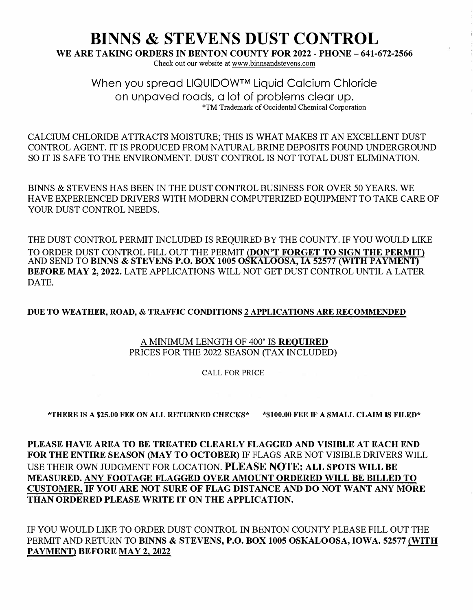# **BINNS & STEVENS DUST CONTROL**

**WE ARE TAKING ORDERS IN BENTON COUNTY FOR 2022 - PHONE- 641-672-2566** 

Check out our website at www.binnsandstevens.com

When you spread LIQUIDOW™ Liquid Calcium Chloride on unpaved roads, a lot of problems clear up. \*TM Trademark of Occidental Chemical Corporation

CALCIUM CHLORIDE ATTRACTS MOISTURE; THIS IS WHAT MAKES IT AN EXCELLENT DUST CONTROL AGENT. IT IS PRODUCED FROM NATURAL BRINE DEPOSITS FOUND UNDERGROUND SO IT IS SAFE TO THE ENVIRONMENT. DUST CONTROL IS NOT TOTAL DUST ELIMINATION.

BINNS & STEVENS HAS BEEN IN THE DUST CONTROL BUSINESS FOR OVER 50 YEARS. WE HA VE EXPERIENCED DRIVERS WITH MODERN COMPUTERIZED EQUIPMENT TO TAKE CARE OF YOUR DUST CONTROL NEEDS.

THE DUST CONTROL PERMIT INCLUDED IS REQUIRED BY THE COUNTY. IF YOU WOULD LIKE TO ORDER DUST CONTROL FILL OUT THE PERMIT *(DON'T* **FORGET TO SIGN THE PERMIT)**  AND SEND TO **BINNS** & **STEVENS P.O. BOX 1005 OSKALOOSA, IA 52577 (WITH PAYMENT) BEFORE MAY 2, 2022.** LATE APPLICATIONS WILL NOT GET DUST CONTROL UNTIL A LATER DATE.

### **DUE TO WEATHER, ROAD, & TRAFFIC CONDITIONS 2 APPLICATIONS ARE RECOMMENDED**

## A MINIMUM LENGTH OF 400' IS **REQUIRED**  PRICES FOR THE 2022 SEASON (TAX INCLUDED)

#### CALL FOR PRICE

**\*THERE IS A \$25.00 FEE ON ALL RETURNED CHECKS\* \*\$100.00 FEE IF A SMALL CLAIM IS FILED\*** 

**PLEASE HAVE AREA TO BE TREATED CLEARLY FLAGGED AND VISIBLE AT EACH END FOR THE ENTIRE SEASON (MAY TO OCTOBER)** IF FLAGS ARE NOT VISIBLE DRIVERS WILL USE THEIR OWN JUDGMENT FOR LOCATION. **PLEASE NOTE: ALL SPOTS WILL BE MEASURED. ANY FOOTAGE FLAGGED OVER AMOUNT ORDERED WILL BE BILLED TO CUSTOMER. IF YOU ARE NOT SURE OF FLAG DISTANCE AND DO NOT WANT ANY MORE THAN ORDERED PLEASE WRITE IT ON THE APPLICATION.** 

IF YOU WOULD LIKE TO ORDER DUST CONTROL IN BENTON COUNTY PLEASE FILL OUT THE PERMIT AND RETURN TO **BINNS** & **STEVENS, P.O. BOX 1005 OSKALOOSA, IOWA. 52577 (WITH PAYMENT) BEFORE MAY 2, 2022**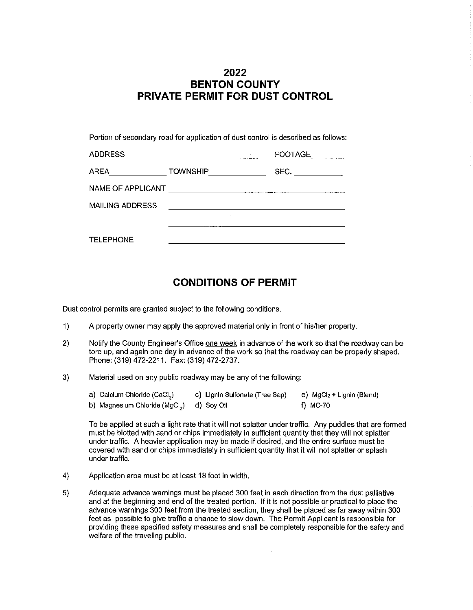# 2022 **BENTON COUNTY** PRIVATE PERMIT FOR DUST CONTROL

| Portion of secondary road for application of dust control is described as follows: |                                                |             |  |
|------------------------------------------------------------------------------------|------------------------------------------------|-------------|--|
|                                                                                    |                                                | FOOTAGE     |  |
|                                                                                    | AREA__________________TOWNSHIP________________ | SEC. $\_\_$ |  |
|                                                                                    |                                                |             |  |
| MAILING ADDRESS                                                                    |                                                |             |  |
|                                                                                    |                                                |             |  |
| <b>TELEPHONE</b>                                                                   |                                                |             |  |

## **CONDITIONS OF PERMIT**

Dust control permits are granted subject to the following conditions.

- $1)$ A property owner may apply the approved material only in front of his/her property.
- Notify the County Engineer's Office one week in advance of the work so that the roadway can be  $2)$ tore up, and again one day in advance of the work so that the roadway can be properly shaped. Phone: (319) 472-2211. Fax: (319) 472-2737.
- $3)$ Material used on any public roadway may be any of the following:

| a) Calcium Chloride (CaCl <sub>2</sub> )               | c) Lignin Sulfonate (Tree Sap) | e) MgCl <sub>2</sub> + Lignin (Blend) |
|--------------------------------------------------------|--------------------------------|---------------------------------------|
| b) Magnesium Chloride (MgCl <sub>2</sub> )  d) Soy Oil |                                | f) MC-70                              |

To be applied at such a light rate that it will not splatter under traffic. Any puddles that are formed must be blotted with sand or chips immediately in sufficient quantity that they will not splatter under traffic. A heavier application may be made if desired, and the entire surface must be covered with sand or chips immediately in sufficient quantity that it will not splatter or splash under traffic.

- Application area must be at least 18 feet in width.  $4)$
- Adequate advance warnings must be placed 300 feet in each direction from the dust palliative  $5)$ and at the beginning and end of the treated portion. If it is not possible or practical to place the advance warnings 300 feet from the treated section, they shall be placed as far away within 300 feet as possible to give traffic a chance to slow down. The Permit Applicant is responsible for providing these specified safety measures and shall be completely responsible for the safety and welfare of the traveling public.